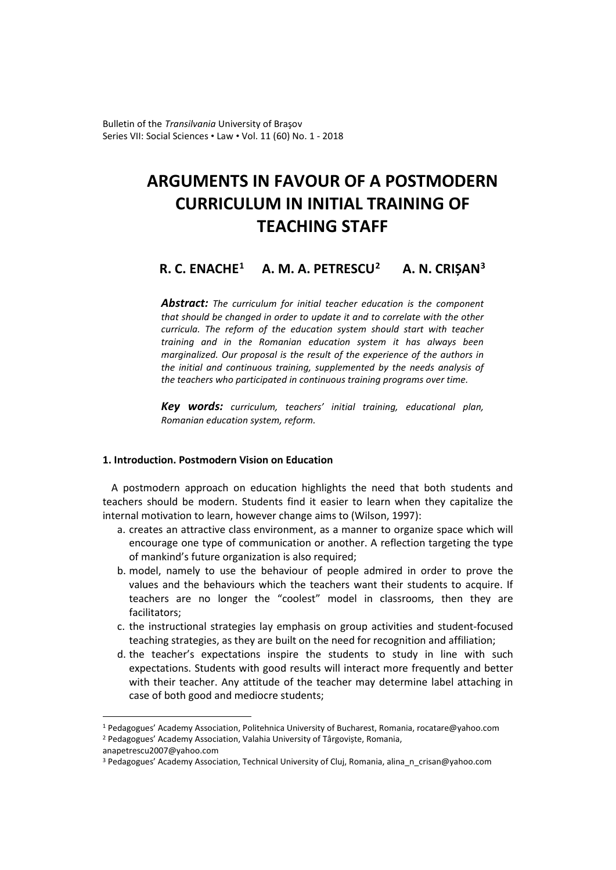Bulletin of the *Transilvania* University of Braşov Series VII: Social Sciences • Law • Vol. 11 (60) No. 1 - 2018

# **ARGUMENTS IN FAVOUR OF A POSTMODERN CURRICULUM IN INITIAL TRAINING OF TEACHING STAFF**

# **R. C. ENACH[E1](#page-0-0) A. M. A. PETRESCU[2](#page-0-1) A. N. CRIȘAN[3](#page-0-2)**

*Abstract: The curriculum for initial teacher education is the component that should be changed in order to update it and to correlate with the other curricula. The reform of the education system should start with teacher training and in the Romanian education system it has always been marginalized. Our proposal is the result of the experience of the authors in the initial and continuous training, supplemented by the needs analysis of the teachers who participated in continuous training programs over time.*

*Key words: curriculum, teachers' initial training, educational plan, Romanian education system, reform.*

#### **1. Introduction. Postmodern Vision on Education**

A postmodern approach on education highlights the need that both students and teachers should be modern. Students find it easier to learn when they capitalize the internal motivation to learn, however change aims to (Wilson, 1997):

- a. creates an attractive class environment, as a manner to organize space which will encourage one type of communication or another. A reflection targeting the type of mankind's future organization is also required;
- b. model, namely to use the behaviour of people admired in order to prove the values and the behaviours which the teachers want their students to acquire. If teachers are no longer the "coolest" model in classrooms, then they are facilitators;
- c. the instructional strategies lay emphasis on group activities and student-focused teaching strategies, as they are built on the need for recognition and affiliation;
- d. the teacher's expectations inspire the students to study in line with such expectations. Students with good results will interact more frequently and better with their teacher. Any attitude of the teacher may determine label attaching in case of both good and mediocre students;

 $\overline{a}$ 

<span id="page-0-0"></span><sup>1</sup> Pedagogues' Academy Association, Politehnica University of Bucharest, Romania, rocatare@yahoo.com

<span id="page-0-1"></span><sup>2</sup> Pedagogues' Academy Association, Valahia University of Târgoviște, Romania,

anapetrescu2007@yahoo.com

<span id="page-0-2"></span><sup>&</sup>lt;sup>3</sup> Pedagogues' Academy Association, Technical University of Cluj, Romania, alina n crisan@yahoo.com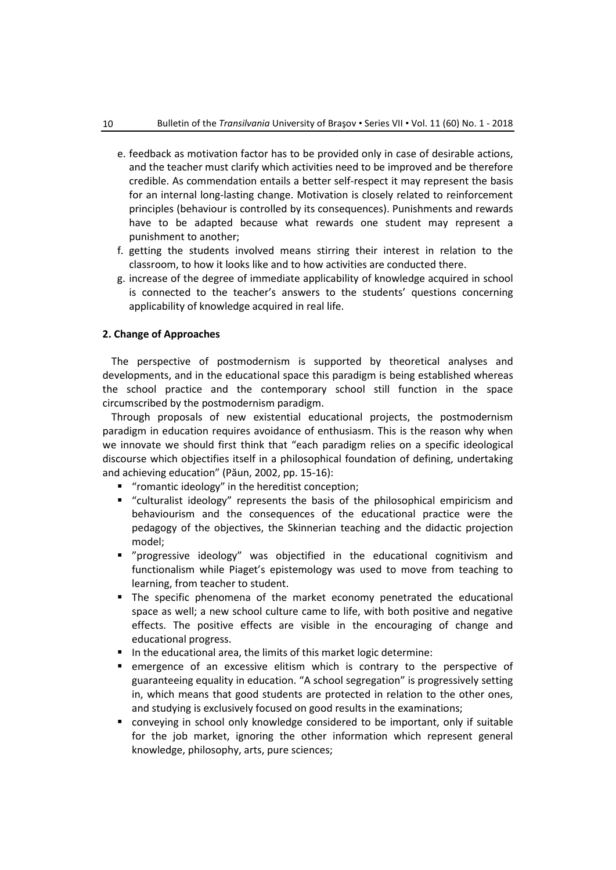- e. feedback as motivation factor has to be provided only in case of desirable actions, and the teacher must clarify which activities need to be improved and be therefore credible. As commendation entails a better self-respect it may represent the basis for an internal long-lasting change. Motivation is closely related to reinforcement principles (behaviour is controlled by its consequences). Punishments and rewards have to be adapted because what rewards one student may represent a punishment to another;
- f. getting the students involved means stirring their interest in relation to the classroom, to how it looks like and to how activities are conducted there.
- g. increase of the degree of immediate applicability of knowledge acquired in school is connected to the teacher's answers to the students' questions concerning applicability of knowledge acquired in real life.

#### **2. Change of Approaches**

The perspective of postmodernism is supported by theoretical analyses and developments, and in the educational space this paradigm is being established whereas the school practice and the contemporary school still function in the space circumscribed by the postmodernism paradigm.

Through proposals of new existential educational projects, the postmodernism paradigm in education requires avoidance of enthusiasm. This is the reason why when we innovate we should first think that "each paradigm relies on a specific ideological discourse which objectifies itself in a philosophical foundation of defining, undertaking and achieving education" (Păun, 2002, pp. 15-16):

- "romantic ideology" in the hereditist conception;
- "culturalist ideology" represents the basis of the philosophical empiricism and behaviourism and the consequences of the educational practice were the pedagogy of the objectives, the Skinnerian teaching and the didactic projection model;
- "progressive ideology" was objectified in the educational cognitivism and functionalism while Piaget's epistemology was used to move from teaching to learning, from teacher to student.
- The specific phenomena of the market economy penetrated the educational space as well; a new school culture came to life, with both positive and negative effects. The positive effects are visible in the encouraging of change and educational progress.
- In the educational area, the limits of this market logic determine:
- emergence of an excessive elitism which is contrary to the perspective of guaranteeing equality in education. "A school segregation" is progressively setting in, which means that good students are protected in relation to the other ones, and studying is exclusively focused on good results in the examinations;
- conveying in school only knowledge considered to be important, only if suitable for the job market, ignoring the other information which represent general knowledge, philosophy, arts, pure sciences;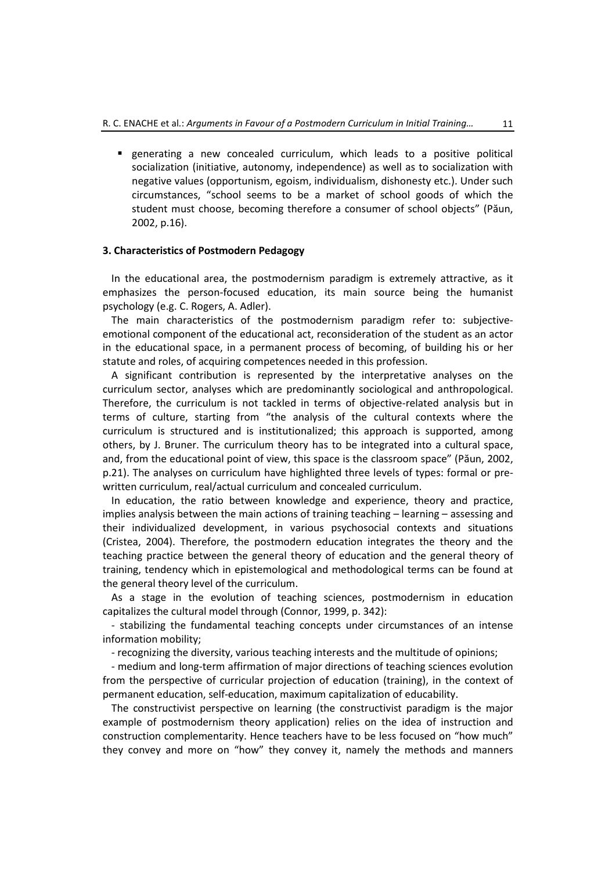generating a new concealed curriculum, which leads to a positive political socialization (initiative, autonomy, independence) as well as to socialization with negative values (opportunism, egoism, individualism, dishonesty etc.). Under such circumstances, "school seems to be a market of school goods of which the student must choose, becoming therefore a consumer of school objects" (Păun, 2002, p.16).

#### **3. Characteristics of Postmodern Pedagogy**

In the educational area, the postmodernism paradigm is extremely attractive, as it emphasizes the person-focused education, its main source being the humanist psychology (e.g. C. Rogers, A. Adler).

The main characteristics of the postmodernism paradigm refer to: subjectiveemotional component of the educational act, reconsideration of the student as an actor in the educational space, in a permanent process of becoming, of building his or her statute and roles, of acquiring competences needed in this profession.

A significant contribution is represented by the interpretative analyses on the curriculum sector, analyses which are predominantly sociological and anthropological. Therefore, the curriculum is not tackled in terms of objective-related analysis but in terms of culture, starting from "the analysis of the cultural contexts where the curriculum is structured and is institutionalized; this approach is supported, among others, by J. Bruner. The curriculum theory has to be integrated into a cultural space, and, from the educational point of view, this space is the classroom space" (Păun, 2002, p.21). The analyses on curriculum have highlighted three levels of types: formal or prewritten curriculum, real/actual curriculum and concealed curriculum.

In education, the ratio between knowledge and experience, theory and practice, implies analysis between the main actions of training teaching – learning – assessing and their individualized development, in various psychosocial contexts and situations (Cristea, 2004). Therefore, the postmodern education integrates the theory and the teaching practice between the general theory of education and the general theory of training, tendency which in epistemological and methodological terms can be found at the general theory level of the curriculum.

As a stage in the evolution of teaching sciences, postmodernism in education capitalizes the cultural model through (Connor, 1999, p. 342):

- stabilizing the fundamental teaching concepts under circumstances of an intense information mobility;

- recognizing the diversity, various teaching interests and the multitude of opinions;

- medium and long-term affirmation of major directions of teaching sciences evolution from the perspective of curricular projection of education (training), in the context of permanent education, self-education, maximum capitalization of educability.

The constructivist perspective on learning (the constructivist paradigm is the major example of postmodernism theory application) relies on the idea of instruction and construction complementarity. Hence teachers have to be less focused on "how much" they convey and more on "how" they convey it, namely the methods and manners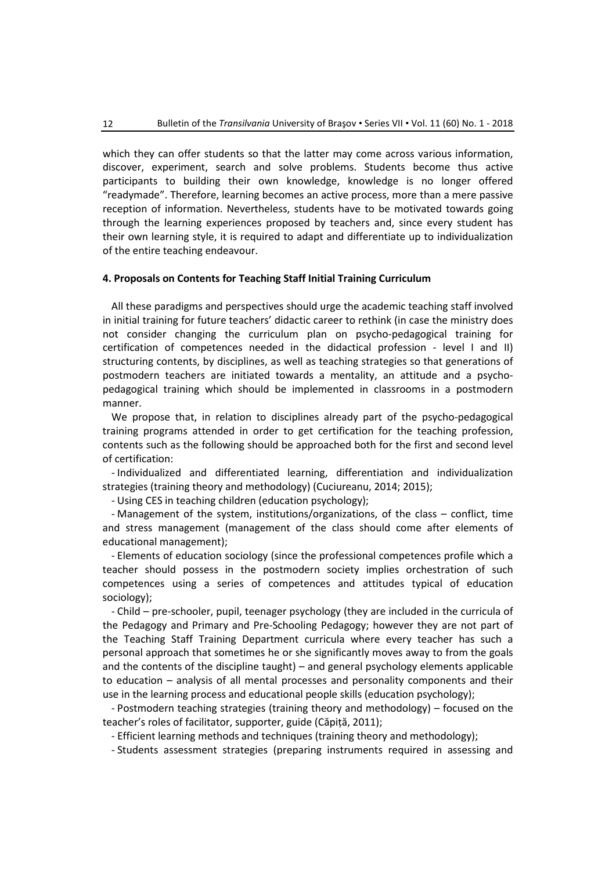which they can offer students so that the latter may come across various information, discover, experiment, search and solve problems. Students become thus active participants to building their own knowledge, knowledge is no longer offered "readymade". Therefore, learning becomes an active process, more than a mere passive reception of information. Nevertheless, students have to be motivated towards going through the learning experiences proposed by teachers and, since every student has their own learning style, it is required to adapt and differentiate up to individualization of the entire teaching endeavour.

#### **4. Proposals on Contents for Teaching Staff Initial Training Curriculum**

All these paradigms and perspectives should urge the academic teaching staff involved in initial training for future teachers' didactic career to rethink (in case the ministry does not consider changing the curriculum plan on psycho-pedagogical training for certification of competences needed in the didactical profession - level I and II) structuring contents, by disciplines, as well as teaching strategies so that generations of postmodern teachers are initiated towards a mentality, an attitude and a psychopedagogical training which should be implemented in classrooms in a postmodern manner.

We propose that, in relation to disciplines already part of the psycho-pedagogical training programs attended in order to get certification for the teaching profession, contents such as the following should be approached both for the first and second level of certification:

- Individualized and differentiated learning, differentiation and individualization strategies (training theory and methodology) (Cuciureanu, 2014; 2015);

- Using CES in teaching children (education psychology);

- Management of the system, institutions/organizations, of the class – conflict, time and stress management (management of the class should come after elements of educational management);

- Elements of education sociology (since the professional competences profile which a teacher should possess in the postmodern society implies orchestration of such competences using a series of competences and attitudes typical of education sociology);

- Child – pre-schooler, pupil, teenager psychology (they are included in the curricula of the Pedagogy and Primary and Pre-Schooling Pedagogy; however they are not part of the Teaching Staff Training Department curricula where every teacher has such a personal approach that sometimes he or she significantly moves away to from the goals and the contents of the discipline taught) – and general psychology elements applicable to education – analysis of all mental processes and personality components and their use in the learning process and educational people skills (education psychology);

- Postmodern teaching strategies (training theory and methodology) – focused on the teacher's roles of facilitator, supporter, guide (Căpiță, 2011);

- Efficient learning methods and techniques (training theory and methodology);

- Students assessment strategies (preparing instruments required in assessing and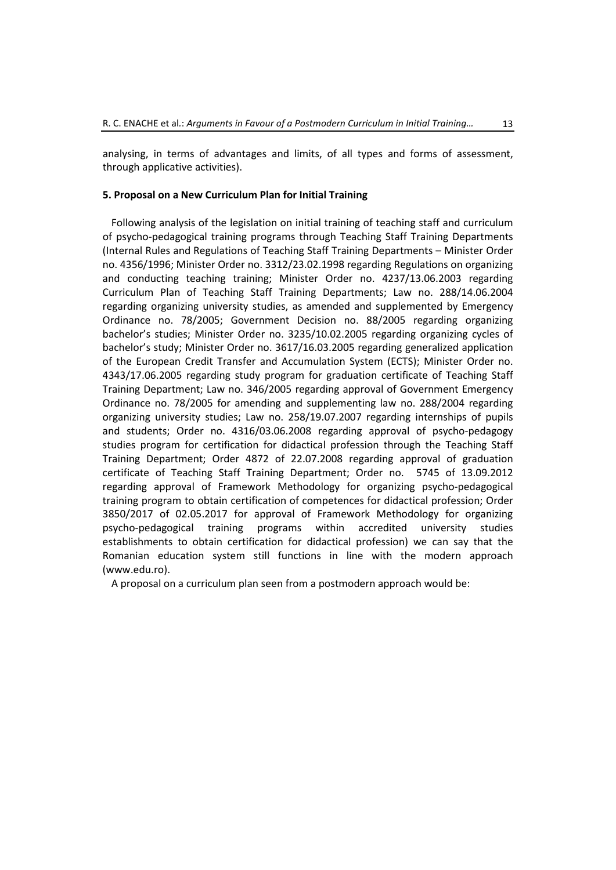analysing, in terms of advantages and limits, of all types and forms of assessment, through applicative activities).

#### **5. Proposal on a New Curriculum Plan for Initial Training**

Following analysis of the legislation on initial training of teaching staff and curriculum of psycho-pedagogical training programs through Teaching Staff Training Departments (Internal Rules and Regulations of Teaching Staff Training Departments – Minister Order no. 4356/1996; Minister Order no. 3312/23.02.1998 regarding Regulations on organizing and conducting teaching training; Minister Order no. 4237/13.06.2003 regarding Curriculum Plan of Teaching Staff Training Departments; Law no. 288/14.06.2004 regarding organizing university studies, as amended and supplemented by Emergency Ordinance no. 78/2005; Government Decision no. 88/2005 regarding organizing bachelor's studies; Minister Order no. 3235/10.02.2005 regarding organizing cycles of bachelor's study; Minister Order no. 3617/16.03.2005 regarding generalized application of the European Credit Transfer and Accumulation System (ECTS); Minister Order no. 4343/17.06.2005 regarding study program for graduation certificate of Teaching Staff Training Department; Law no. 346/2005 regarding approval of Government Emergency Ordinance no. 78/2005 for amending and supplementing law no. 288/2004 regarding organizing university studies; Law no. 258/19.07.2007 regarding internships of pupils and students; Order no. 4316/03.06.2008 regarding approval of psycho-pedagogy studies program for certification for didactical profession through the Teaching Staff Training Department; Order 4872 of 22.07.2008 regarding approval of graduation certificate of Teaching Staff Training Department; Order no. 5745 of 13.09.2012 regarding approval of Framework Methodology for organizing psycho-pedagogical training program to obtain certification of competences for didactical profession; Order 3850/2017 of 02.05.2017 for approval of Framework Methodology for organizing psycho-pedagogical training programs within accredited university studies establishments to obtain certification for didactical profession) we can say that the Romanian education system still functions in line with the modern approach (www.edu.ro).

A proposal on a curriculum plan seen from a postmodern approach would be: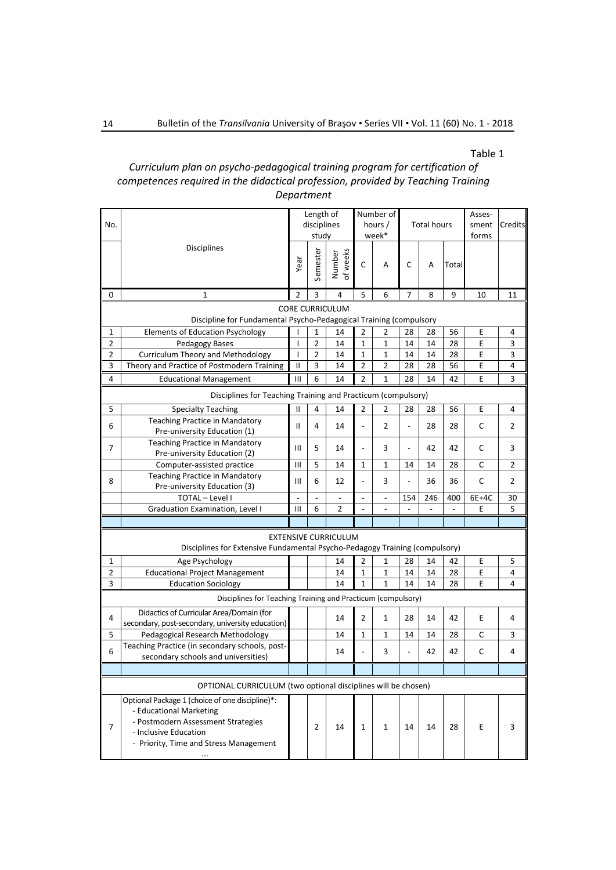### Table 1

# *Curriculum plan on psycho-pedagogical training program for certification of competences required in the didactical profession, provided by Teaching Training Department*

| No.                                                                                                        |                                                                                                                                                                                         | Length of<br>disciplines<br>study |                         | Number of<br>hours /<br>week* |                          | <b>Total hours</b>       |                |     | Asses-<br>sment<br>forms | Credits      |    |
|------------------------------------------------------------------------------------------------------------|-----------------------------------------------------------------------------------------------------------------------------------------------------------------------------------------|-----------------------------------|-------------------------|-------------------------------|--------------------------|--------------------------|----------------|-----|--------------------------|--------------|----|
|                                                                                                            | Disciplines                                                                                                                                                                             | Year                              | Semester                | of weeks<br>Number            | $\mathsf C$              | A                        | $\mathsf C$    | A   | Total                    |              |    |
| 0                                                                                                          | $\mathbf{1}$                                                                                                                                                                            | $\overline{2}$                    | 3                       | 4                             | 5                        | 6                        | 7              | 8   | 9                        | 10           | 11 |
| <b>CORE CURRICULUM</b>                                                                                     |                                                                                                                                                                                         |                                   |                         |                               |                          |                          |                |     |                          |              |    |
| Discipline for Fundamental Psycho-Pedagogical Training (compulsory                                         |                                                                                                                                                                                         |                                   |                         |                               |                          |                          |                |     |                          |              |    |
| 1                                                                                                          | <b>Elements of Education Psychology</b>                                                                                                                                                 | ı                                 | 1                       | 14                            | $\overline{2}$           | 2                        | 28             | 28  | 56                       | E            | 4  |
| $\overline{2}$                                                                                             | Pedagogy Bases                                                                                                                                                                          | I                                 | $\overline{2}$          | 14                            | $\mathbf{1}$             | $\mathbf{1}$             | 14             | 14  | 28                       | E            | 3  |
| 2                                                                                                          | Curriculum Theory and Methodology                                                                                                                                                       | I                                 | $\overline{2}$          | 14                            | $\mathbf 1$              | 1                        | 14             | 14  | 28                       | E            | 3  |
| 3                                                                                                          | Theory and Practice of Postmodern Training                                                                                                                                              | $\ensuremath{\mathsf{II}}$        | $\overline{\mathbf{3}}$ | 14                            | $\overline{2}$           | $\overline{2}$           | 28             | 28  | 56                       | E            | 4  |
| 4                                                                                                          | <b>Educational Management</b>                                                                                                                                                           | III                               | 6                       | 14                            | $\overline{2}$           | $\mathbf{1}$             | 28             | 14  | 42                       | E            | 3  |
| Disciplines for Teaching Training and Practicum (compulsory)                                               |                                                                                                                                                                                         |                                   |                         |                               |                          |                          |                |     |                          |              |    |
| $\mathsf S$                                                                                                | <b>Specialty Teaching</b>                                                                                                                                                               | $\mathbf{I}$                      | 4                       | 14                            | $\mathbf 2$              | $\overline{2}$           | 28             | 28  | 56                       | E            | 4  |
| 6                                                                                                          | <b>Teaching Practice in Mandatory</b><br>Pre-university Education (1)                                                                                                                   | $\mathbf{H}$                      | 4                       | 14                            | $\overline{a}$           | 2                        | $\frac{1}{2}$  | 28  | 28                       | $\mathsf{C}$ | 2  |
| 7                                                                                                          | <b>Teaching Practice in Mandatory</b><br>Pre-university Education (2)                                                                                                                   | Ш                                 | 5                       | 14                            | $\overline{a}$           | 3                        | $\frac{1}{2}$  | 42  | 42                       | С            | 3  |
|                                                                                                            | Computer-assisted practice                                                                                                                                                              | III                               | 5                       | 14                            | $\mathbf{1}$             | $\mathbf{1}$             | 14             | 14  | 28                       | C            | 2  |
| 8                                                                                                          | Teaching Practice in Mandatory<br>Pre-university Education (3)                                                                                                                          | Ш                                 | 6                       | 12                            | $\overline{a}$           | 3                        | $\overline{a}$ | 36  | 36                       | С            | 2  |
|                                                                                                            | TOTAL - Level I                                                                                                                                                                         |                                   |                         |                               | $\overline{\phantom{0}}$ | $\overline{\phantom{a}}$ | 154            | 246 | 400                      | 6E+4C        | 30 |
|                                                                                                            | Graduation Examination, Level I                                                                                                                                                         | III                               | 6                       | $\overline{2}$                | $\overline{a}$           |                          | $\overline{a}$ |     |                          | E            | 5  |
|                                                                                                            |                                                                                                                                                                                         |                                   |                         |                               |                          |                          |                |     |                          |              |    |
| <b>EXTENSIVE CURRICULUM</b><br>Disciplines for Extensive Fundamental Psycho-Pedagogy Training (compulsory) |                                                                                                                                                                                         |                                   |                         |                               |                          |                          |                |     |                          |              |    |
| 1                                                                                                          | Age Psychology                                                                                                                                                                          |                                   |                         | 14                            | 2                        | 1                        | 28             | 14  | 42                       | E            | 5  |
| 2                                                                                                          | <b>Educational Project Management</b>                                                                                                                                                   |                                   |                         | 14                            | $\mathbf 1$              | $\mathbf 1$              | 14             | 14  | 28                       | E            | 4  |
| 3                                                                                                          | <b>Education Sociology</b>                                                                                                                                                              |                                   |                         | 14                            | $\mathbf{1}$             | $\mathbf{1}$             | 14             | 14  | 28                       | E            | 4  |
|                                                                                                            | Disciplines for Teaching Training and Practicum (compulsory)                                                                                                                            |                                   |                         |                               |                          |                          |                |     |                          |              |    |
|                                                                                                            | Didactics of Curricular Area/Domain (for                                                                                                                                                |                                   |                         |                               |                          |                          |                |     |                          |              |    |
| 4                                                                                                          | secondary, post-secondary, university education)                                                                                                                                        |                                   |                         | 14                            | $\overline{2}$           | $\mathbf{1}$             | 28             | 14  | 42                       | E            | 4  |
| 5                                                                                                          | Pedagogical Research Methodology                                                                                                                                                        |                                   |                         | 14                            | $\mathbf{1}$             | $\mathbf{1}$             | 14             | 14  | 28                       | C            | 3  |
| 6                                                                                                          | Teaching Practice (in secondary schools, post-<br>secondary schools and universities)                                                                                                   |                                   |                         | 14                            | $\frac{1}{2}$            | 3                        | $\overline{a}$ | 42  | 42                       | С            | 4  |
|                                                                                                            |                                                                                                                                                                                         |                                   |                         |                               |                          |                          |                |     |                          |              |    |
| OPTIONAL CURRICULUM (two optional disciplines will be chosen)                                              |                                                                                                                                                                                         |                                   |                         |                               |                          |                          |                |     |                          |              |    |
| 7                                                                                                          | Optional Package 1 (choice of one discipline)*:<br>- Educational Marketing<br>- Postmodern Assessment Strategies<br>- Inclusive Education<br>- Priority, Time and Stress Management<br> |                                   | $\overline{2}$          | 14                            | $\mathbf{1}$             | $\mathbf{1}$             | 14             | 14  | 28                       | E            | 3  |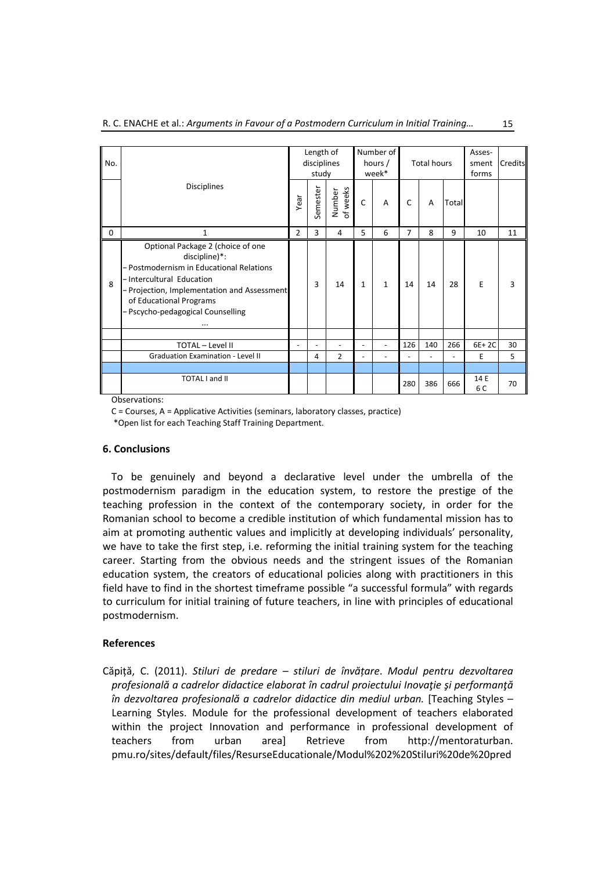| No.         |                                                                                                                                                                                                                                                    |                | Length of<br>disciplines<br>study |                    |                | Number of<br>hours /<br>week* |                | <b>Total hours</b> |                          | Asses-<br>sment<br>forms | Credits |
|-------------|----------------------------------------------------------------------------------------------------------------------------------------------------------------------------------------------------------------------------------------------------|----------------|-----------------------------------|--------------------|----------------|-------------------------------|----------------|--------------------|--------------------------|--------------------------|---------|
|             | <b>Disciplines</b>                                                                                                                                                                                                                                 | Year           | Semester                          | of weeks<br>Number | $\mathsf{C}$   | A                             | C              | A                  | Total                    |                          |         |
| $\mathbf 0$ | $\mathbf{1}$                                                                                                                                                                                                                                       | $\overline{2}$ | 3                                 | 4                  | 5              | 6                             | 7              | 8                  | 9                        | 10                       | 11      |
| 8           | Optional Package 2 (choice of one<br>discipline)*:<br>-Postmodernism in Educational Relations<br>-Intercultural Education<br>-Projection, Implementation and Assessment<br>of Educational Programs<br>-Pscycho-pedagogical Counselling<br>$\cdots$ |                | 3                                 | 14                 | $\mathbf{1}$   | $\mathbf{1}$                  | 14             | 14                 | 28                       | E                        | 3       |
|             |                                                                                                                                                                                                                                                    |                |                                   |                    |                |                               |                |                    |                          |                          |         |
|             | TOTAL - Level II                                                                                                                                                                                                                                   |                | ٠                                 | $\blacksquare$     | $\blacksquare$ | $\blacksquare$                | 126            | 140                | 266                      | 6E+2C                    | 30      |
|             | Graduation Examination - Level II                                                                                                                                                                                                                  |                | 4                                 | $\mathfrak{p}$     | $\blacksquare$ | $\overline{a}$                | $\overline{a}$ | $\overline{a}$     | $\overline{\phantom{a}}$ | E                        | 5       |
|             |                                                                                                                                                                                                                                                    |                |                                   |                    |                |                               |                |                    |                          |                          |         |
|             | <b>TOTAL I and II</b>                                                                                                                                                                                                                              |                |                                   |                    |                |                               | 280            | 386                | 666                      | 14 E<br>6 C              | 70      |

Observations:

C = Courses, A = Applicative Activities (seminars, laboratory classes, practice)

\*Open list for each Teaching Staff Training Department.

## **6. Conclusions**

To be genuinely and beyond a declarative level under the umbrella of the postmodernism paradigm in the education system, to restore the prestige of the teaching profession in the context of the contemporary society, in order for the Romanian school to become a credible institution of which fundamental mission has to aim at promoting authentic values and implicitly at developing individuals' personality, we have to take the first step, i.e. reforming the initial training system for the teaching career. Starting from the obvious needs and the stringent issues of the Romanian education system, the creators of educational policies along with practitioners in this field have to find in the shortest timeframe possible "a successful formula" with regards to curriculum for initial training of future teachers, in line with principles of educational postmodernism.

## **References**

Căpiță, C. (2011). *Stiluri de predare – stiluri de învățare*. *Modul pentru dezvoltarea profesională a cadrelor didactice elaborat în cadrul proiectului Inovaţie şi performanţă în dezvoltarea profesională a cadrelor didactice din mediul urban.* [Teaching Styles – Learning Styles. Module for the professional development of teachers elaborated within the project Innovation and performance in professional development of teachers from urban area] Retrieve from http://mentoraturban. pmu.ro/sites/default/files/ResurseEducationale/Modul%202%20Stiluri%20de%20pred